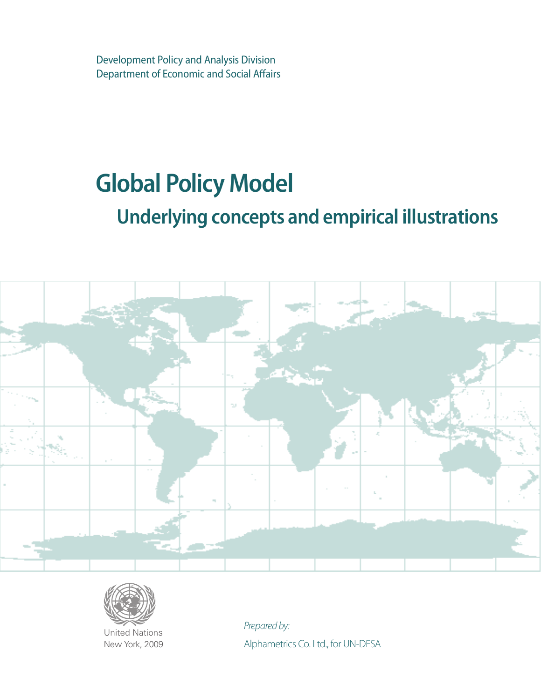Development Policy and Analysis Division Department of Economic and Social Affairs

# **Global Policy Model**

## **Underlying concepts and empirical illustrations**





New York, 2009

*Prepared by:* Alphametrics Co. Ltd., for UN-DESA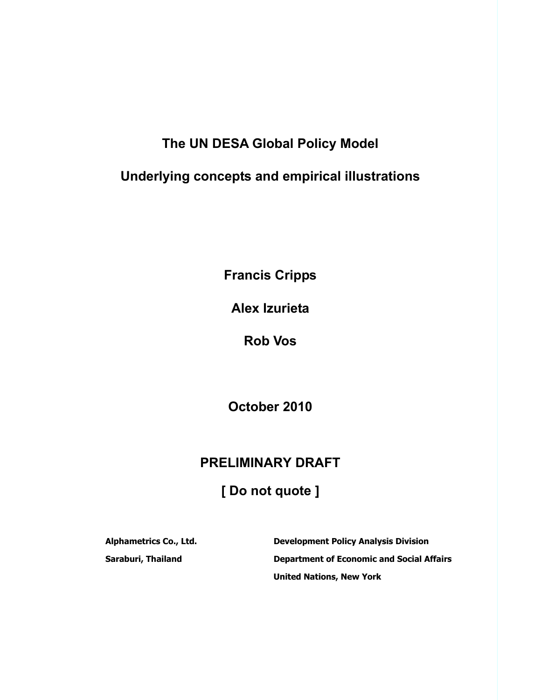### **The UN DESA Global Policy Model**

### **Underlying concepts and empirical illustrations**

**Francis Cripps** 

**Alex Izurieta** 

**Rob Vos** 

**October 2010** 

### **PRELIMINARY DRAFT**

### **[ Do not quote ]**

**Alphametrics Co., Ltd. Development Policy Analysis Division Saraburi, Thailand Department of Economic and Social Affairs United Nations, New York**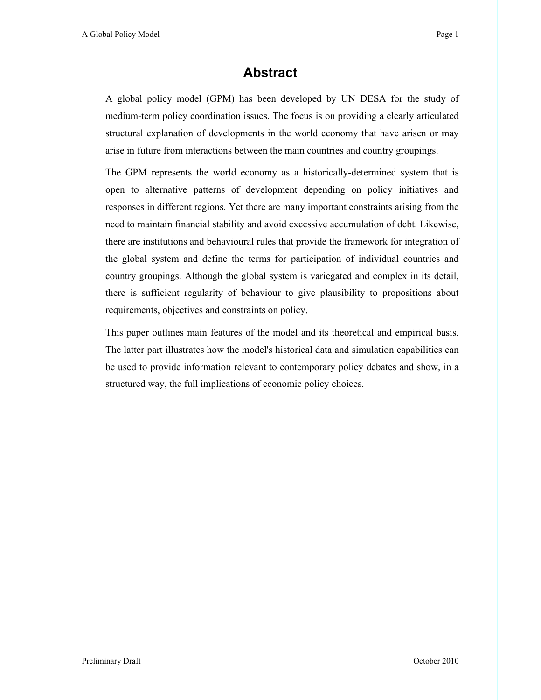### **Abstract**

A global policy model (GPM) has been developed by UN DESA for the study of medium-term policy coordination issues. The focus is on providing a clearly articulated structural explanation of developments in the world economy that have arisen or may arise in future from interactions between the main countries and country groupings.

The GPM represents the world economy as a historically-determined system that is open to alternative patterns of development depending on policy initiatives and responses in different regions. Yet there are many important constraints arising from the need to maintain financial stability and avoid excessive accumulation of debt. Likewise, there are institutions and behavioural rules that provide the framework for integration of the global system and define the terms for participation of individual countries and country groupings. Although the global system is variegated and complex in its detail, there is sufficient regularity of behaviour to give plausibility to propositions about requirements, objectives and constraints on policy.

This paper outlines main features of the model and its theoretical and empirical basis. The latter part illustrates how the model's historical data and simulation capabilities can be used to provide information relevant to contemporary policy debates and show, in a structured way, the full implications of economic policy choices.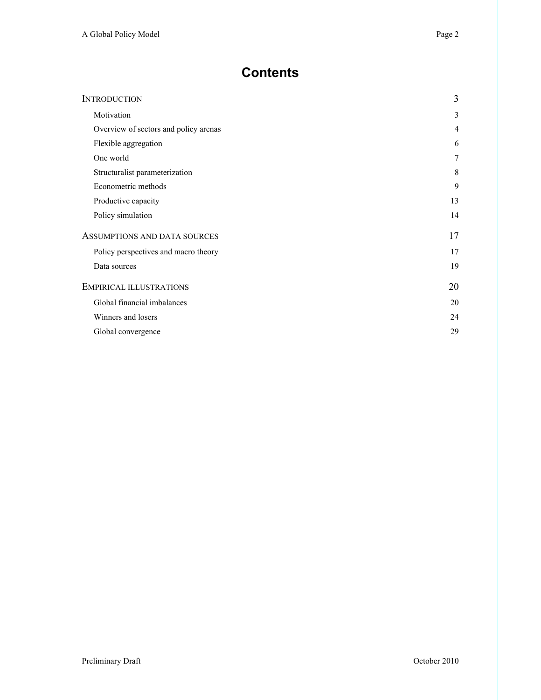### **Contents**

| <b>INTRODUCTION</b>                   | 3  |
|---------------------------------------|----|
| Motivation                            | 3  |
| Overview of sectors and policy arenas | 4  |
| Flexible aggregation                  | 6  |
| One world                             | 7  |
| Structuralist parameterization        | 8  |
| Econometric methods                   | 9  |
| Productive capacity                   | 13 |
| Policy simulation                     | 14 |
| <b>ASSUMPTIONS AND DATA SOURCES</b>   | 17 |
| Policy perspectives and macro theory  | 17 |
| Data sources                          | 19 |
| <b>EMPIRICAL ILLUSTRATIONS</b>        | 20 |
| Global financial imbalances           | 20 |
| Winners and losers                    | 24 |
| Global convergence                    | 29 |
|                                       |    |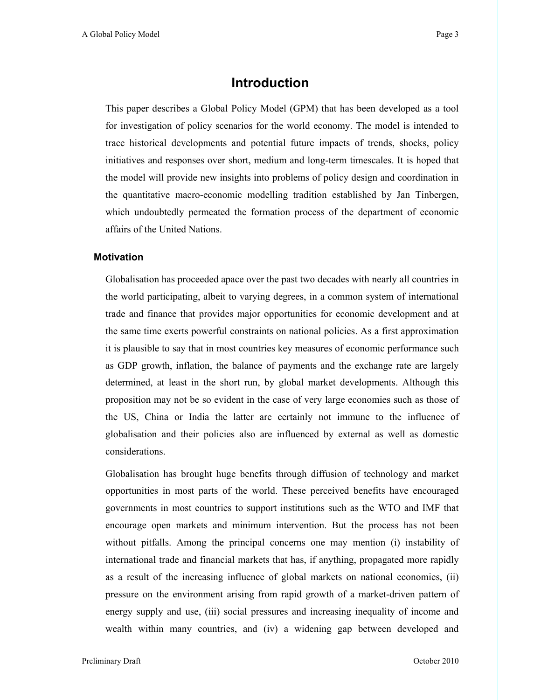### **Introduction**

This paper describes a Global Policy Model (GPM) that has been developed as a tool for investigation of policy scenarios for the world economy. The model is intended to trace historical developments and potential future impacts of trends, shocks, policy initiatives and responses over short, medium and long-term timescales. It is hoped that the model will provide new insights into problems of policy design and coordination in the quantitative macro-economic modelling tradition established by Jan Tinbergen, which undoubtedly permeated the formation process of the department of economic affairs of the United Nations.

#### **Motivation**

Globalisation has proceeded apace over the past two decades with nearly all countries in the world participating, albeit to varying degrees, in a common system of international trade and finance that provides major opportunities for economic development and at the same time exerts powerful constraints on national policies. As a first approximation it is plausible to say that in most countries key measures of economic performance such as GDP growth, inflation, the balance of payments and the exchange rate are largely determined, at least in the short run, by global market developments. Although this proposition may not be so evident in the case of very large economies such as those of the US, China or India the latter are certainly not immune to the influence of globalisation and their policies also are influenced by external as well as domestic considerations.

Globalisation has brought huge benefits through diffusion of technology and market opportunities in most parts of the world. These perceived benefits have encouraged governments in most countries to support institutions such as the WTO and IMF that encourage open markets and minimum intervention. But the process has not been without pitfalls. Among the principal concerns one may mention (i) instability of international trade and financial markets that has, if anything, propagated more rapidly as a result of the increasing influence of global markets on national economies, (ii) pressure on the environment arising from rapid growth of a market-driven pattern of energy supply and use, (iii) social pressures and increasing inequality of income and wealth within many countries, and (iv) a widening gap between developed and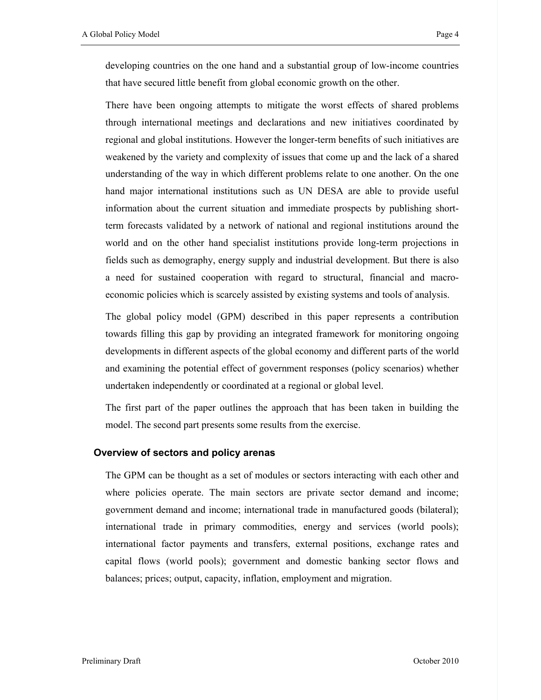developing countries on the one hand and a substantial group of low-income countries that have secured little benefit from global economic growth on the other.

There have been ongoing attempts to mitigate the worst effects of shared problems through international meetings and declarations and new initiatives coordinated by regional and global institutions. However the longer-term benefits of such initiatives are weakened by the variety and complexity of issues that come up and the lack of a shared understanding of the way in which different problems relate to one another. On the one hand major international institutions such as UN DESA are able to provide useful information about the current situation and immediate prospects by publishing shortterm forecasts validated by a network of national and regional institutions around the world and on the other hand specialist institutions provide long-term projections in fields such as demography, energy supply and industrial development. But there is also a need for sustained cooperation with regard to structural, financial and macroeconomic policies which is scarcely assisted by existing systems and tools of analysis.

The global policy model (GPM) described in this paper represents a contribution towards filling this gap by providing an integrated framework for monitoring ongoing developments in different aspects of the global economy and different parts of the world and examining the potential effect of government responses (policy scenarios) whether undertaken independently or coordinated at a regional or global level.

The first part of the paper outlines the approach that has been taken in building the model. The second part presents some results from the exercise.

#### **Overview of sectors and policy arenas**

The GPM can be thought as a set of modules or sectors interacting with each other and where policies operate. The main sectors are private sector demand and income; government demand and income; international trade in manufactured goods (bilateral); international trade in primary commodities, energy and services (world pools); international factor payments and transfers, external positions, exchange rates and capital flows (world pools); government and domestic banking sector flows and balances; prices; output, capacity, inflation, employment and migration.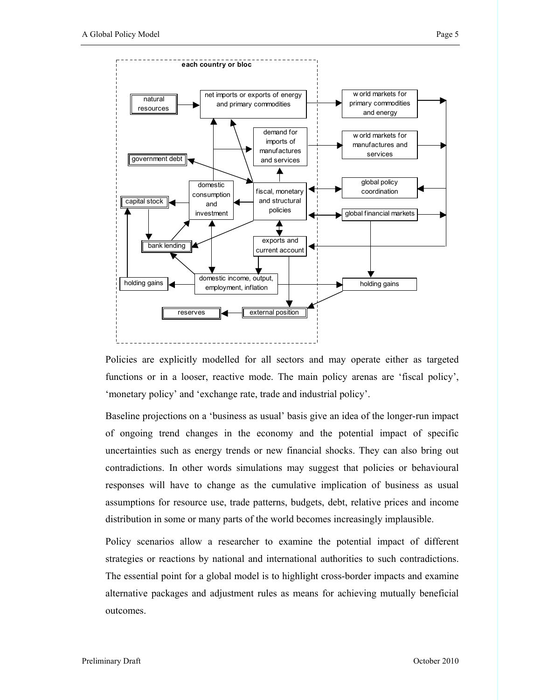

Policies are explicitly modelled for all sectors and may operate either as targeted functions or in a looser, reactive mode. The main policy arenas are 'fiscal policy', 'monetary policy' and 'exchange rate, trade and industrial policy'.

Baseline projections on a 'business as usual' basis give an idea of the longer-run impact of ongoing trend changes in the economy and the potential impact of specific uncertainties such as energy trends or new financial shocks. They can also bring out contradictions. In other words simulations may suggest that policies or behavioural responses will have to change as the cumulative implication of business as usual assumptions for resource use, trade patterns, budgets, debt, relative prices and income distribution in some or many parts of the world becomes increasingly implausible.

Policy scenarios allow a researcher to examine the potential impact of different strategies or reactions by national and international authorities to such contradictions. The essential point for a global model is to highlight cross-border impacts and examine alternative packages and adjustment rules as means for achieving mutually beneficial outcomes.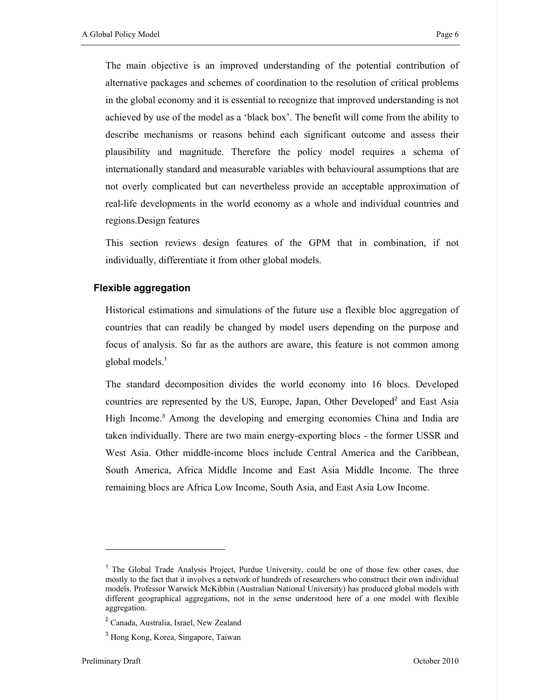The main objective is an improved understanding of the potential contribution of alternative packages and schemes of coordination to the resolution of critical problems in the global economy and it is essential to recognize that improved understanding is not achieved by use of the model as a 'black box'. The benefit will come from the ability to describe mechanisms or reasons behind each significant outcome and assess their plausibility and magnitude. Therefore the policy model requires a schema of internationally standard and measurable variables with behavioural assumptions that are not overly complicated but can nevertheless provide an acceptable approximation of real-life developments in the world economy as a whole and individual countries and regions.Design features

This section reviews design features of the GPM that in combination, if not individually, differentiate it from other global models.

#### **Flexible aggregation**

Historical estimations and simulations of the future use a flexible bloc aggregation of countries that can readily be changed by model users depending on the purpose and focus of analysis. So far as the authors are aware, this feature is not common among global models.<sup>1</sup>

The standard decomposition divides the world economy into 16 blocs. Developed countries are represented by the US, Europe, Japan, Other Developed<sup>2</sup> and East Asia High Income.<sup>3</sup> Among the developing and emerging economies China and India are taken individually. There are two main energy-exporting blocs - the former USSR and West Asia. Other middle-income blocs include Central America and the Caribbean, South America, Africa Middle Income and East Asia Middle Income. The three remaining blocs are Africa Low Income, South Asia, and East Asia Low Income.

 $\overline{a}$ 

<sup>&</sup>lt;sup>1</sup> The Global Trade Analysis Project, Purdue University, could be one of those few other cases, due mostly to the fact that it involves a network of hundreds of researchers who construct their own individual models. Professor Warwick McKibbin (Australian National University) has produced global models with different geographical aggregations, not in the sense understood here of a one model with flexible aggregation.

<sup>&</sup>lt;sup>2</sup> Canada, Australia, Israel, New Zealand

<sup>&</sup>lt;sup>3</sup> Hong Kong, Korea, Singapore, Taiwan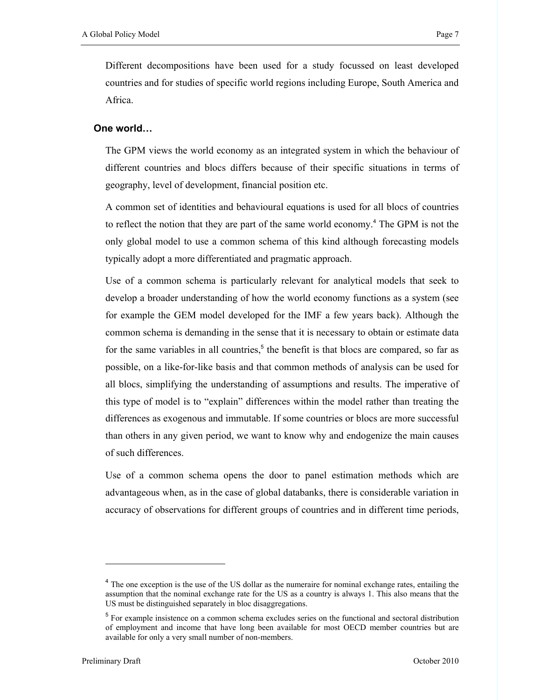Different decompositions have been used for a study focussed on least developed countries and for studies of specific world regions including Europe, South America and Africa.

#### **One world…**

The GPM views the world economy as an integrated system in which the behaviour of different countries and blocs differs because of their specific situations in terms of geography, level of development, financial position etc.

A common set of identities and behavioural equations is used for all blocs of countries to reflect the notion that they are part of the same world economy.<sup>4</sup> The GPM is not the only global model to use a common schema of this kind although forecasting models typically adopt a more differentiated and pragmatic approach.

Use of a common schema is particularly relevant for analytical models that seek to develop a broader understanding of how the world economy functions as a system (see for example the GEM model developed for the IMF a few years back). Although the common schema is demanding in the sense that it is necessary to obtain or estimate data for the same variables in all countries,<sup>5</sup> the benefit is that blocs are compared, so far as possible, on a like-for-like basis and that common methods of analysis can be used for all blocs, simplifying the understanding of assumptions and results. The imperative of this type of model is to "explain" differences within the model rather than treating the differences as exogenous and immutable. If some countries or blocs are more successful than others in any given period, we want to know why and endogenize the main causes of such differences.

Use of a common schema opens the door to panel estimation methods which are advantageous when, as in the case of global databanks, there is considerable variation in accuracy of observations for different groups of countries and in different time periods,

 $\overline{a}$ 

<sup>&</sup>lt;sup>4</sup> The one exception is the use of the US dollar as the numeraire for nominal exchange rates, entailing the assumption that the nominal exchange rate for the US as a country is always 1. This also means that the US must be distinguished separately in bloc disaggregations.

<sup>&</sup>lt;sup>5</sup> For example insistence on a common schema excludes series on the functional and sectoral distribution of employment and income that have long been available for most OECD member countries but are available for only a very small number of non-members.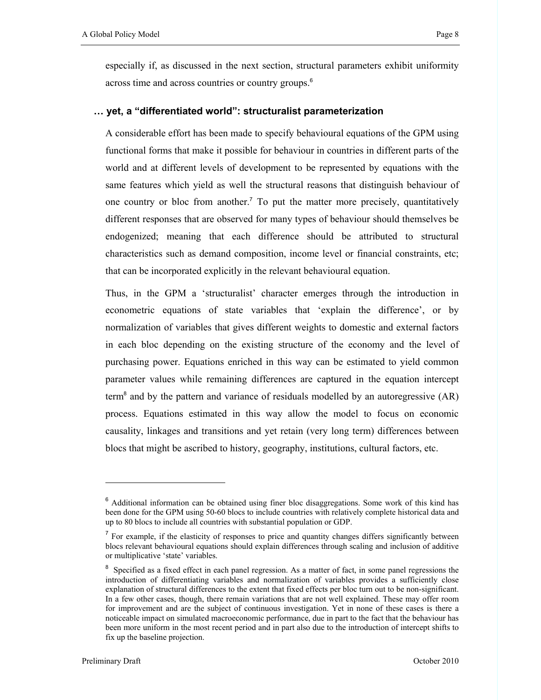especially if, as discussed in the next section, structural parameters exhibit uniformity across time and across countries or country groups.<sup>6</sup>

#### **… yet, a "differentiated world": structuralist parameterization**

A considerable effort has been made to specify behavioural equations of the GPM using functional forms that make it possible for behaviour in countries in different parts of the world and at different levels of development to be represented by equations with the same features which yield as well the structural reasons that distinguish behaviour of one country or bloc from another.<sup>7</sup> To put the matter more precisely, quantitatively different responses that are observed for many types of behaviour should themselves be endogenized; meaning that each difference should be attributed to structural characteristics such as demand composition, income level or financial constraints, etc; that can be incorporated explicitly in the relevant behavioural equation.

Thus, in the GPM a 'structuralist' character emerges through the introduction in econometric equations of state variables that 'explain the difference', or by normalization of variables that gives different weights to domestic and external factors in each bloc depending on the existing structure of the economy and the level of purchasing power. Equations enriched in this way can be estimated to yield common parameter values while remaining differences are captured in the equation intercept term<sup>8</sup> and by the pattern and variance of residuals modelled by an autoregressive  $(AR)$ process. Equations estimated in this way allow the model to focus on economic causality, linkages and transitions and yet retain (very long term) differences between blocs that might be ascribed to history, geography, institutions, cultural factors, etc.

<sup>&</sup>lt;sup>6</sup> Additional information can be obtained using finer bloc disaggregations. Some work of this kind has been done for the GPM using 50-60 blocs to include countries with relatively complete historical data and up to 80 blocs to include all countries with substantial population or GDP.

 $<sup>7</sup>$  For example, if the elasticity of responses to price and quantity changes differs significantly between</sup> blocs relevant behavioural equations should explain differences through scaling and inclusion of additive or multiplicative 'state' variables.

<sup>&</sup>lt;sup>8</sup> Specified as a fixed effect in each panel regression. As a matter of fact, in some panel regressions the introduction of differentiating variables and normalization of variables provides a sufficiently close explanation of structural differences to the extent that fixed effects per bloc turn out to be non-significant. In a few other cases, though, there remain variations that are not well explained. These may offer room for improvement and are the subject of continuous investigation. Yet in none of these cases is there a noticeable impact on simulated macroeconomic performance, due in part to the fact that the behaviour has been more uniform in the most recent period and in part also due to the introduction of intercept shifts to fix up the baseline projection.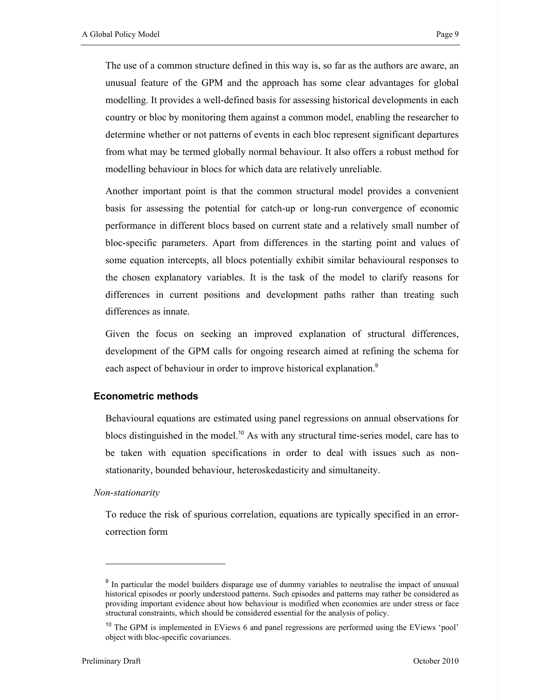The use of a common structure defined in this way is, so far as the authors are aware, an unusual feature of the GPM and the approach has some clear advantages for global modelling. It provides a well-defined basis for assessing historical developments in each country or bloc by monitoring them against a common model, enabling the researcher to determine whether or not patterns of events in each bloc represent significant departures from what may be termed globally normal behaviour. It also offers a robust method for modelling behaviour in blocs for which data are relatively unreliable.

Another important point is that the common structural model provides a convenient basis for assessing the potential for catch-up or long-run convergence of economic performance in different blocs based on current state and a relatively small number of bloc-specific parameters. Apart from differences in the starting point and values of some equation intercepts, all blocs potentially exhibit similar behavioural responses to the chosen explanatory variables. It is the task of the model to clarify reasons for differences in current positions and development paths rather than treating such differences as innate.

Given the focus on seeking an improved explanation of structural differences, development of the GPM calls for ongoing research aimed at refining the schema for each aspect of behaviour in order to improve historical explanation.<sup>9</sup>

#### **Econometric methods**

Behavioural equations are estimated using panel regressions on annual observations for blocs distinguished in the model.<sup>10</sup> As with any structural time-series model, care has to be taken with equation specifications in order to deal with issues such as nonstationarity, bounded behaviour, heteroskedasticity and simultaneity.

#### *Non-stationarity*

To reduce the risk of spurious correlation, equations are typically specified in an errorcorrection form

l

<sup>&</sup>lt;sup>9</sup> In particular the model builders disparage use of dummy variables to neutralise the impact of unusual historical episodes or poorly understood patterns. Such episodes and patterns may rather be considered as providing important evidence about how behaviour is modified when economies are under stress or face structural constraints, which should be considered essential for the analysis of policy.

<sup>&</sup>lt;sup>10</sup> The GPM is implemented in EViews 6 and panel regressions are performed using the EViews 'pool' object with bloc-specific covariances.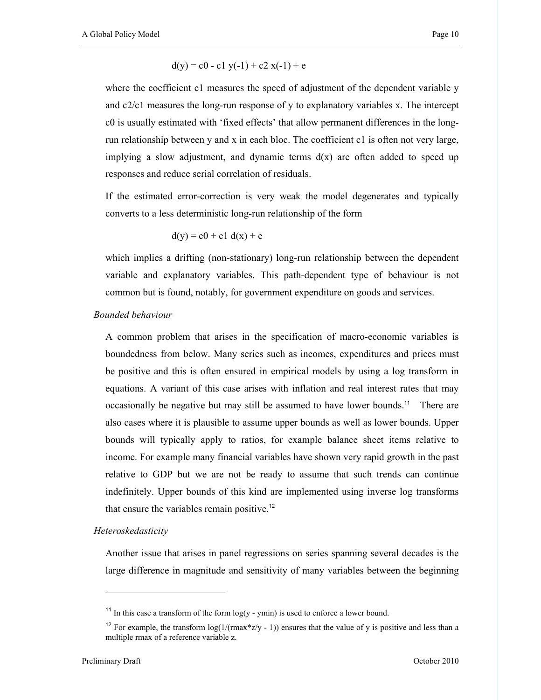$$
d(y) = c0 - c1 y(-1) + c2 x(-1) + e
$$

where the coefficient c1 measures the speed of adjustment of the dependent variable y and c2/c1 measures the long-run response of y to explanatory variables x. The intercept c0 is usually estimated with 'fixed effects' that allow permanent differences in the longrun relationship between y and x in each bloc. The coefficient c1 is often not very large, implying a slow adjustment, and dynamic terms  $d(x)$  are often added to speed up responses and reduce serial correlation of residuals.

If the estimated error-correction is very weak the model degenerates and typically converts to a less deterministic long-run relationship of the form

$$
d(y) = c0 + c1 d(x) + e
$$

which implies a drifting (non-stationary) long-run relationship between the dependent variable and explanatory variables. This path-dependent type of behaviour is not common but is found, notably, for government expenditure on goods and services.

#### *Bounded behaviour*

A common problem that arises in the specification of macro-economic variables is boundedness from below. Many series such as incomes, expenditures and prices must be positive and this is often ensured in empirical models by using a log transform in equations. A variant of this case arises with inflation and real interest rates that may occasionally be negative but may still be assumed to have lower bounds.<sup>11</sup> There are also cases where it is plausible to assume upper bounds as well as lower bounds. Upper bounds will typically apply to ratios, for example balance sheet items relative to income. For example many financial variables have shown very rapid growth in the past relative to GDP but we are not be ready to assume that such trends can continue indefinitely. Upper bounds of this kind are implemented using inverse log transforms that ensure the variables remain positive.<sup>12</sup>

#### *Heteroskedasticity*

Another issue that arises in panel regressions on series spanning several decades is the large difference in magnitude and sensitivity of many variables between the beginning

 $\overline{a}$ 

<sup>&</sup>lt;sup>11</sup> In this case a transform of the form  $log(y - ymin)$  is used to enforce a lower bound.

<sup>&</sup>lt;sup>12</sup> For example, the transform  $log(1/(rmax*z/y - 1))$  ensures that the value of y is positive and less than a multiple rmax of a reference variable z.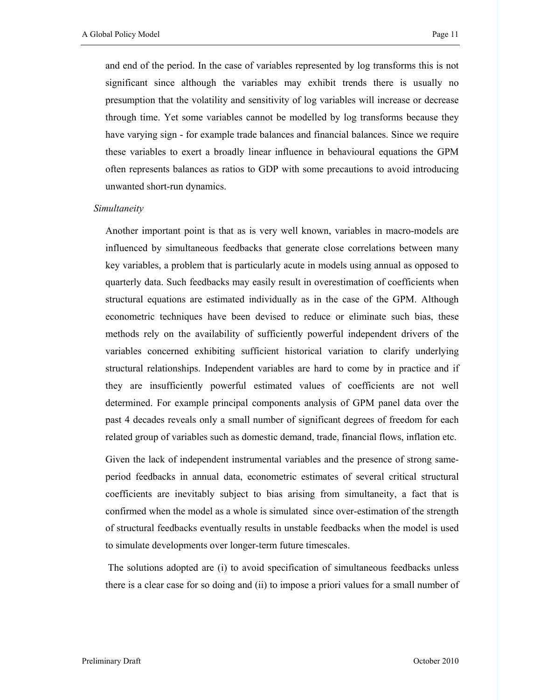and end of the period. In the case of variables represented by log transforms this is not significant since although the variables may exhibit trends there is usually no presumption that the volatility and sensitivity of log variables will increase or decrease through time. Yet some variables cannot be modelled by log transforms because they have varying sign - for example trade balances and financial balances. Since we require these variables to exert a broadly linear influence in behavioural equations the GPM often represents balances as ratios to GDP with some precautions to avoid introducing unwanted short-run dynamics.

#### *Simultaneity*

Another important point is that as is very well known, variables in macro-models are influenced by simultaneous feedbacks that generate close correlations between many key variables, a problem that is particularly acute in models using annual as opposed to quarterly data. Such feedbacks may easily result in overestimation of coefficients when structural equations are estimated individually as in the case of the GPM. Although econometric techniques have been devised to reduce or eliminate such bias, these methods rely on the availability of sufficiently powerful independent drivers of the variables concerned exhibiting sufficient historical variation to clarify underlying structural relationships. Independent variables are hard to come by in practice and if they are insufficiently powerful estimated values of coefficients are not well determined. For example principal components analysis of GPM panel data over the past 4 decades reveals only a small number of significant degrees of freedom for each related group of variables such as domestic demand, trade, financial flows, inflation etc.

Given the lack of independent instrumental variables and the presence of strong sameperiod feedbacks in annual data, econometric estimates of several critical structural coefficients are inevitably subject to bias arising from simultaneity, a fact that is confirmed when the model as a whole is simulated since over-estimation of the strength of structural feedbacks eventually results in unstable feedbacks when the model is used to simulate developments over longer-term future timescales.

 The solutions adopted are (i) to avoid specification of simultaneous feedbacks unless there is a clear case for so doing and (ii) to impose a priori values for a small number of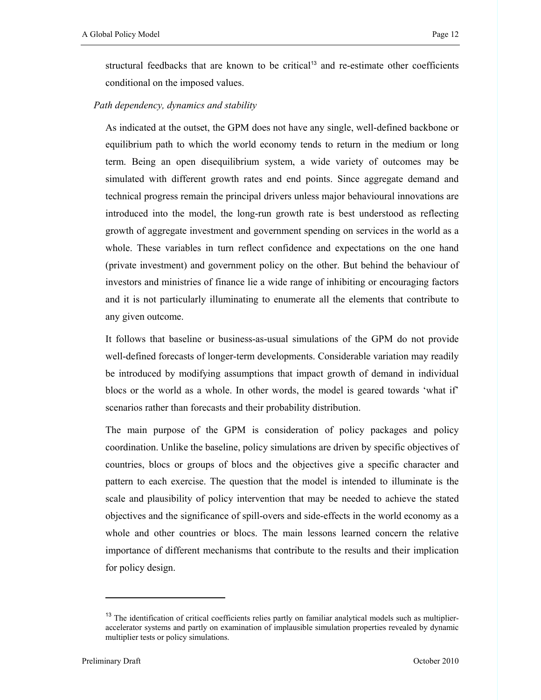structural feedbacks that are known to be critical<sup>13</sup> and re-estimate other coefficients conditional on the imposed values.

#### *Path dependency, dynamics and stability*

As indicated at the outset, the GPM does not have any single, well-defined backbone or equilibrium path to which the world economy tends to return in the medium or long term. Being an open disequilibrium system, a wide variety of outcomes may be simulated with different growth rates and end points. Since aggregate demand and technical progress remain the principal drivers unless major behavioural innovations are introduced into the model, the long-run growth rate is best understood as reflecting growth of aggregate investment and government spending on services in the world as a whole. These variables in turn reflect confidence and expectations on the one hand (private investment) and government policy on the other. But behind the behaviour of investors and ministries of finance lie a wide range of inhibiting or encouraging factors and it is not particularly illuminating to enumerate all the elements that contribute to any given outcome.

It follows that baseline or business-as-usual simulations of the GPM do not provide well-defined forecasts of longer-term developments. Considerable variation may readily be introduced by modifying assumptions that impact growth of demand in individual blocs or the world as a whole. In other words, the model is geared towards 'what if' scenarios rather than forecasts and their probability distribution.

The main purpose of the GPM is consideration of policy packages and policy coordination. Unlike the baseline, policy simulations are driven by specific objectives of countries, blocs or groups of blocs and the objectives give a specific character and pattern to each exercise. The question that the model is intended to illuminate is the scale and plausibility of policy intervention that may be needed to achieve the stated objectives and the significance of spill-overs and side-effects in the world economy as a whole and other countries or blocs. The main lessons learned concern the relative importance of different mechanisms that contribute to the results and their implication for policy design.

l

<sup>&</sup>lt;sup>13</sup> The identification of critical coefficients relies partly on familiar analytical models such as multiplieraccelerator systems and partly on examination of implausible simulation properties revealed by dynamic multiplier tests or policy simulations.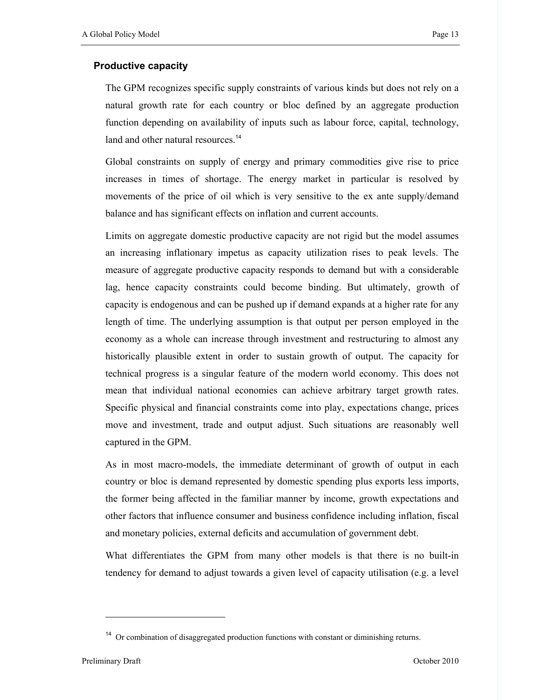#### **Productive capacity**

The GPM recognizes specific supply constraints of various kinds but does not rely on a natural growth rate for each country or bloc defined by an aggregate production function depending on availability of inputs such as labour force, capital, technology, land and other natural resources.<sup>14</sup>

Global constraints on supply of energy and primary commodities give rise to price increases in times of shortage. The energy market in particular is resolved by movements of the price of oil which is very sensitive to the ex ante supply/demand balance and has significant effects on inflation and current accounts.

Limits on aggregate domestic productive capacity are not rigid but the model assumes an increasing inflationary impetus as capacity utilization rises to peak levels. The measure of aggregate productive capacity responds to demand but with a considerable lag, hence capacity constraints could become binding. But ultimately, growth of capacity is endogenous and can be pushed up if demand expands at a higher rate for any length of time. The underlying assumption is that output per person employed in the economy as a whole can increase through investment and restructuring to almost any historically plausible extent in order to sustain growth of output. The capacity for technical progress is a singular feature of the modern world economy. This does not mean that individual national economies can achieve arbitrary target growth rates. Specific physical and financial constraints come into play, expectations change, prices move and investment, trade and output adjust. Such situations are reasonably well captured in the GPM.

As in most macro-models, the immediate determinant of growth of output in each country or bloc is demand represented by domestic spending plus exports less imports, the former being affected in the familiar manner by income, growth expectations and other factors that influence consumer and business confidence including inflation, fiscal and monetary policies, external deficits and accumulation of government debt.

What differentiates the GPM from many other models is that there is no built-in tendency for demand to adjust towards a given level of capacity utilisation (e.g. a level

l

<sup>&</sup>lt;sup>14</sup> Or combination of disaggregated production functions with constant or diminishing returns.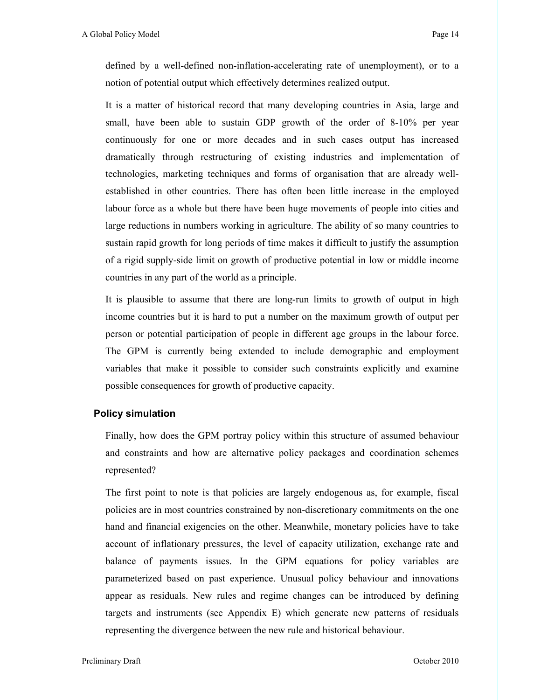defined by a well-defined non-inflation-accelerating rate of unemployment), or to a notion of potential output which effectively determines realized output.

It is a matter of historical record that many developing countries in Asia, large and small, have been able to sustain GDP growth of the order of 8-10% per year continuously for one or more decades and in such cases output has increased dramatically through restructuring of existing industries and implementation of technologies, marketing techniques and forms of organisation that are already wellestablished in other countries. There has often been little increase in the employed labour force as a whole but there have been huge movements of people into cities and large reductions in numbers working in agriculture. The ability of so many countries to sustain rapid growth for long periods of time makes it difficult to justify the assumption of a rigid supply-side limit on growth of productive potential in low or middle income countries in any part of the world as a principle.

It is plausible to assume that there are long-run limits to growth of output in high income countries but it is hard to put a number on the maximum growth of output per person or potential participation of people in different age groups in the labour force. The GPM is currently being extended to include demographic and employment variables that make it possible to consider such constraints explicitly and examine possible consequences for growth of productive capacity.

#### **Policy simulation**

Finally, how does the GPM portray policy within this structure of assumed behaviour and constraints and how are alternative policy packages and coordination schemes represented?

The first point to note is that policies are largely endogenous as, for example, fiscal policies are in most countries constrained by non-discretionary commitments on the one hand and financial exigencies on the other. Meanwhile, monetary policies have to take account of inflationary pressures, the level of capacity utilization, exchange rate and balance of payments issues. In the GPM equations for policy variables are parameterized based on past experience. Unusual policy behaviour and innovations appear as residuals. New rules and regime changes can be introduced by defining targets and instruments (see Appendix E) which generate new patterns of residuals representing the divergence between the new rule and historical behaviour.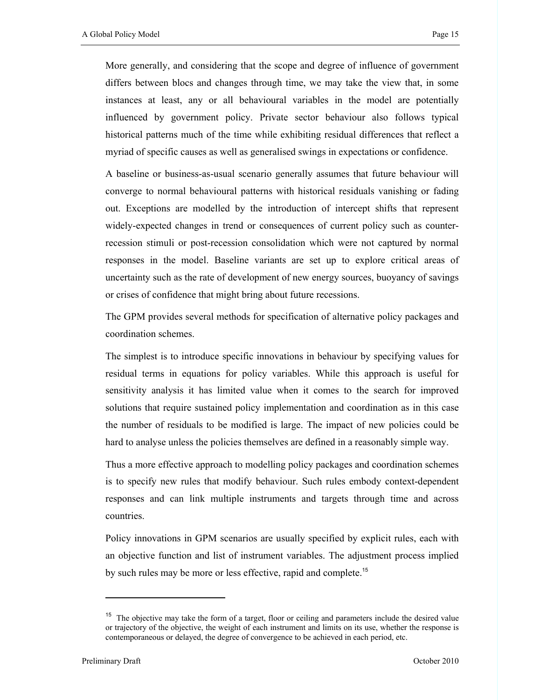More generally, and considering that the scope and degree of influence of government differs between blocs and changes through time, we may take the view that, in some instances at least, any or all behavioural variables in the model are potentially influenced by government policy. Private sector behaviour also follows typical historical patterns much of the time while exhibiting residual differences that reflect a myriad of specific causes as well as generalised swings in expectations or confidence.

A baseline or business-as-usual scenario generally assumes that future behaviour will converge to normal behavioural patterns with historical residuals vanishing or fading out. Exceptions are modelled by the introduction of intercept shifts that represent widely-expected changes in trend or consequences of current policy such as counterrecession stimuli or post-recession consolidation which were not captured by normal responses in the model. Baseline variants are set up to explore critical areas of uncertainty such as the rate of development of new energy sources, buoyancy of savings or crises of confidence that might bring about future recessions.

The GPM provides several methods for specification of alternative policy packages and coordination schemes.

The simplest is to introduce specific innovations in behaviour by specifying values for residual terms in equations for policy variables. While this approach is useful for sensitivity analysis it has limited value when it comes to the search for improved solutions that require sustained policy implementation and coordination as in this case the number of residuals to be modified is large. The impact of new policies could be hard to analyse unless the policies themselves are defined in a reasonably simple way.

Thus a more effective approach to modelling policy packages and coordination schemes is to specify new rules that modify behaviour. Such rules embody context-dependent responses and can link multiple instruments and targets through time and across countries.

Policy innovations in GPM scenarios are usually specified by explicit rules, each with an objective function and list of instrument variables. The adjustment process implied by such rules may be more or less effective, rapid and complete.<sup>15</sup>

l

<sup>&</sup>lt;sup>15</sup> The objective may take the form of a target, floor or ceiling and parameters include the desired value or trajectory of the objective, the weight of each instrument and limits on its use, whether the response is contemporaneous or delayed, the degree of convergence to be achieved in each period, etc.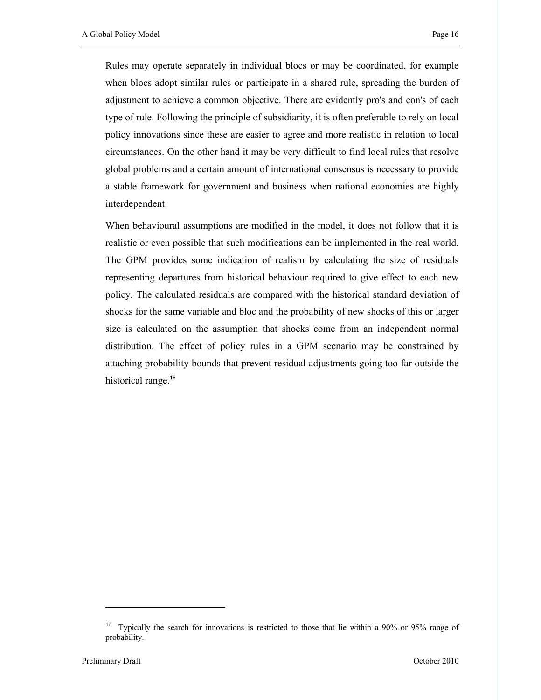Rules may operate separately in individual blocs or may be coordinated, for example when blocs adopt similar rules or participate in a shared rule, spreading the burden of adjustment to achieve a common objective. There are evidently pro's and con's of each type of rule. Following the principle of subsidiarity, it is often preferable to rely on local policy innovations since these are easier to agree and more realistic in relation to local circumstances. On the other hand it may be very difficult to find local rules that resolve global problems and a certain amount of international consensus is necessary to provide a stable framework for government and business when national economies are highly interdependent.

When behavioural assumptions are modified in the model, it does not follow that it is realistic or even possible that such modifications can be implemented in the real world. The GPM provides some indication of realism by calculating the size of residuals representing departures from historical behaviour required to give effect to each new policy. The calculated residuals are compared with the historical standard deviation of shocks for the same variable and bloc and the probability of new shocks of this or larger size is calculated on the assumption that shocks come from an independent normal distribution. The effect of policy rules in a GPM scenario may be constrained by attaching probability bounds that prevent residual adjustments going too far outside the historical range.<sup>16</sup>

l

<sup>&</sup>lt;sup>16</sup> Typically the search for innovations is restricted to those that lie within a 90% or 95% range of probability.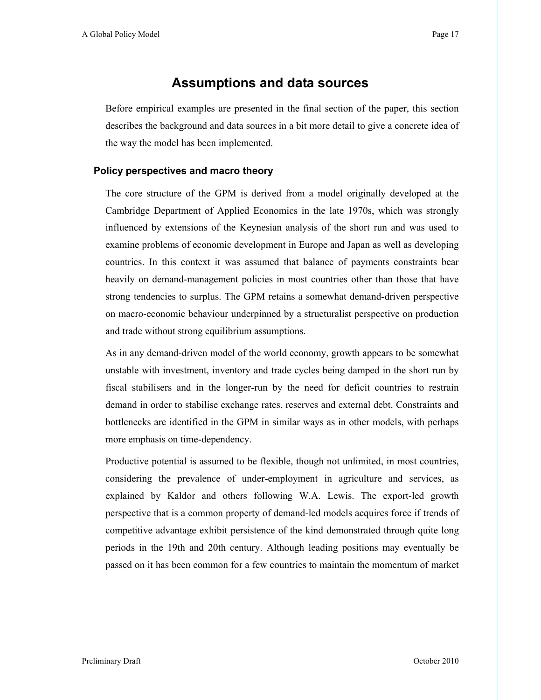### **Assumptions and data sources**

Before empirical examples are presented in the final section of the paper, this section describes the background and data sources in a bit more detail to give a concrete idea of the way the model has been implemented.

#### **Policy perspectives and macro theory**

The core structure of the GPM is derived from a model originally developed at the Cambridge Department of Applied Economics in the late 1970s, which was strongly influenced by extensions of the Keynesian analysis of the short run and was used to examine problems of economic development in Europe and Japan as well as developing countries. In this context it was assumed that balance of payments constraints bear heavily on demand-management policies in most countries other than those that have strong tendencies to surplus. The GPM retains a somewhat demand-driven perspective on macro-economic behaviour underpinned by a structuralist perspective on production and trade without strong equilibrium assumptions.

As in any demand-driven model of the world economy, growth appears to be somewhat unstable with investment, inventory and trade cycles being damped in the short run by fiscal stabilisers and in the longer-run by the need for deficit countries to restrain demand in order to stabilise exchange rates, reserves and external debt. Constraints and bottlenecks are identified in the GPM in similar ways as in other models, with perhaps more emphasis on time-dependency.

Productive potential is assumed to be flexible, though not unlimited, in most countries, considering the prevalence of under-employment in agriculture and services, as explained by Kaldor and others following W.A. Lewis. The export-led growth perspective that is a common property of demand-led models acquires force if trends of competitive advantage exhibit persistence of the kind demonstrated through quite long periods in the 19th and 20th century. Although leading positions may eventually be passed on it has been common for a few countries to maintain the momentum of market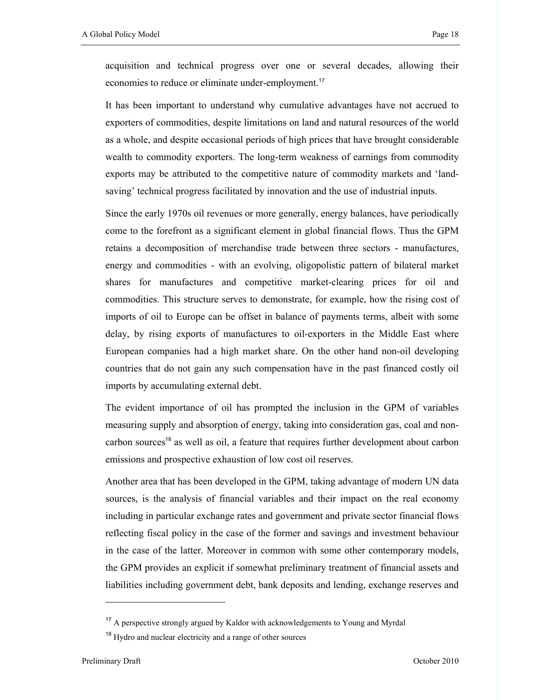acquisition and technical progress over one or several decades, allowing their economies to reduce or eliminate under-employment.<sup>17</sup>

It has been important to understand why cumulative advantages have not accrued to exporters of commodities, despite limitations on land and natural resources of the world as a whole, and despite occasional periods of high prices that have brought considerable wealth to commodity exporters. The long-term weakness of earnings from commodity exports may be attributed to the competitive nature of commodity markets and 'landsaving' technical progress facilitated by innovation and the use of industrial inputs.

Since the early 1970s oil revenues or more generally, energy balances, have periodically come to the forefront as a significant element in global financial flows. Thus the GPM retains a decomposition of merchandise trade between three sectors - manufactures, energy and commodities - with an evolving, oligopolistic pattern of bilateral market shares for manufactures and competitive market-clearing prices for oil and commodities. This structure serves to demonstrate, for example, how the rising cost of imports of oil to Europe can be offset in balance of payments terms, albeit with some delay, by rising exports of manufactures to oil-exporters in the Middle East where European companies had a high market share. On the other hand non-oil developing countries that do not gain any such compensation have in the past financed costly oil imports by accumulating external debt.

The evident importance of oil has prompted the inclusion in the GPM of variables measuring supply and absorption of energy, taking into consideration gas, coal and noncarbon sources<sup>18</sup> as well as oil, a feature that requires further development about carbon emissions and prospective exhaustion of low cost oil reserves.

Another area that has been developed in the GPM, taking advantage of modern UN data sources, is the analysis of financial variables and their impact on the real economy including in particular exchange rates and government and private sector financial flows reflecting fiscal policy in the case of the former and savings and investment behaviour in the case of the latter. Moreover in common with some other contemporary models, the GPM provides an explicit if somewhat preliminary treatment of financial assets and liabilities including government debt, bank deposits and lending, exchange reserves and

 $\overline{a}$ 

<sup>&</sup>lt;sup>17</sup> A perspective strongly argued by Kaldor with acknowledgements to Young and Myrdal

<sup>&</sup>lt;sup>18</sup> Hydro and nuclear electricity and a range of other sources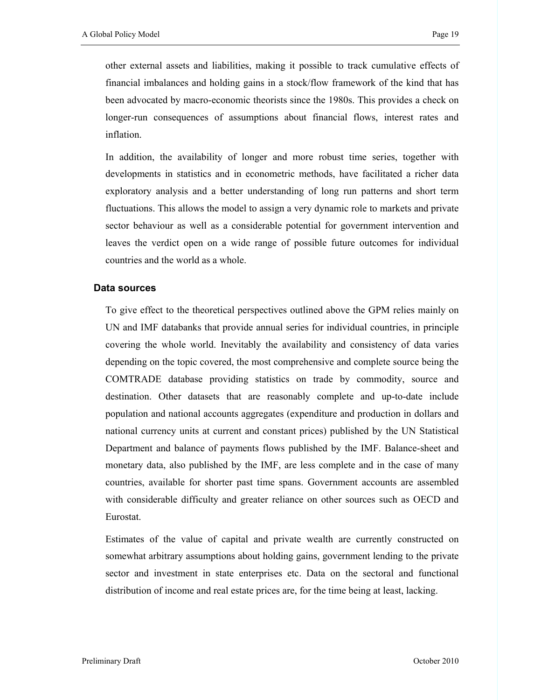other external assets and liabilities, making it possible to track cumulative effects of financial imbalances and holding gains in a stock/flow framework of the kind that has been advocated by macro-economic theorists since the 1980s. This provides a check on longer-run consequences of assumptions about financial flows, interest rates and inflation.

In addition, the availability of longer and more robust time series, together with developments in statistics and in econometric methods, have facilitated a richer data exploratory analysis and a better understanding of long run patterns and short term fluctuations. This allows the model to assign a very dynamic role to markets and private sector behaviour as well as a considerable potential for government intervention and leaves the verdict open on a wide range of possible future outcomes for individual countries and the world as a whole.

#### **Data sources**

To give effect to the theoretical perspectives outlined above the GPM relies mainly on UN and IMF databanks that provide annual series for individual countries, in principle covering the whole world. Inevitably the availability and consistency of data varies depending on the topic covered, the most comprehensive and complete source being the COMTRADE database providing statistics on trade by commodity, source and destination. Other datasets that are reasonably complete and up-to-date include population and national accounts aggregates (expenditure and production in dollars and national currency units at current and constant prices) published by the UN Statistical Department and balance of payments flows published by the IMF. Balance-sheet and monetary data, also published by the IMF, are less complete and in the case of many countries, available for shorter past time spans. Government accounts are assembled with considerable difficulty and greater reliance on other sources such as OECD and Eurostat.

Estimates of the value of capital and private wealth are currently constructed on somewhat arbitrary assumptions about holding gains, government lending to the private sector and investment in state enterprises etc. Data on the sectoral and functional distribution of income and real estate prices are, for the time being at least, lacking.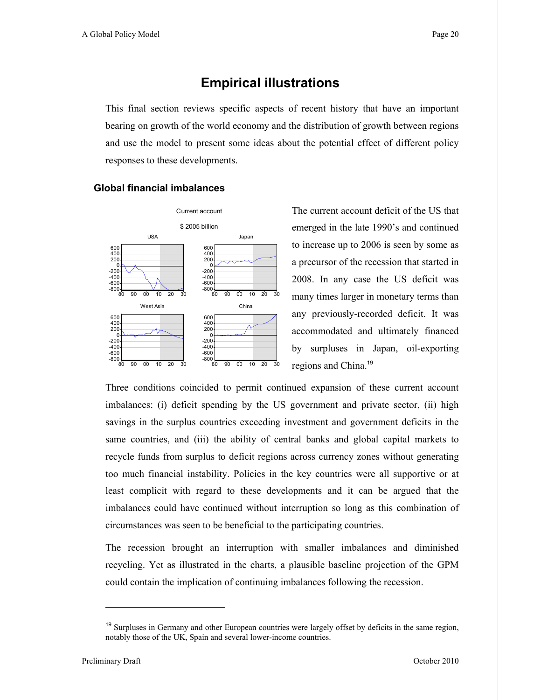### **Empirical illustrations**

This final section reviews specific aspects of recent history that have an important bearing on growth of the world economy and the distribution of growth between regions and use the model to present some ideas about the potential effect of different policy responses to these developments.

#### **Global financial imbalances**



The current account deficit of the US that emerged in the late 1990's and continued to increase up to 2006 is seen by some as a precursor of the recession that started in 2008. In any case the US deficit was many times larger in monetary terms than any previously-recorded deficit. It was accommodated and ultimately financed by surpluses in Japan, oil-exporting regions and China.<sup>19</sup>

Three conditions coincided to permit continued expansion of these current account imbalances: (i) deficit spending by the US government and private sector, (ii) high savings in the surplus countries exceeding investment and government deficits in the same countries, and (iii) the ability of central banks and global capital markets to recycle funds from surplus to deficit regions across currency zones without generating too much financial instability. Policies in the key countries were all supportive or at least complicit with regard to these developments and it can be argued that the imbalances could have continued without interruption so long as this combination of circumstances was seen to be beneficial to the participating countries.

The recession brought an interruption with smaller imbalances and diminished recycling. Yet as illustrated in the charts, a plausible baseline projection of the GPM could contain the implication of continuing imbalances following the recession.

l

<sup>&</sup>lt;sup>19</sup> Surpluses in Germany and other European countries were largely offset by deficits in the same region, notably those of the UK, Spain and several lower-income countries.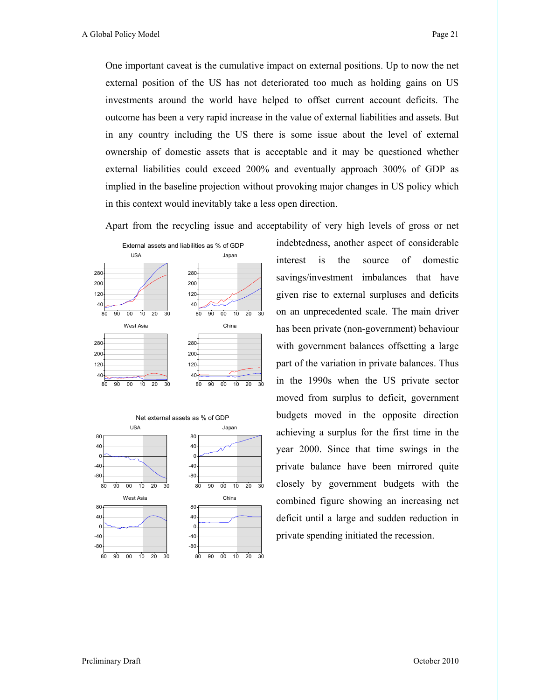One important caveat is the cumulative impact on external positions. Up to now the net external position of the US has not deteriorated too much as holding gains on US investments around the world have helped to offset current account deficits. The outcome has been a very rapid increase in the value of external liabilities and assets. But in any country including the US there is some issue about the level of external ownership of domestic assets that is acceptable and it may be questioned whether external liabilities could exceed 200% and eventually approach 300% of GDP as implied in the baseline projection without provoking major changes in US policy which in this context would inevitably take a less open direction.

Apart from the recycling issue and acceptability of very high levels of gross or net





indebtedness, another aspect of considerable interest is the source of domestic savings/investment imbalances that have given rise to external surpluses and deficits on an unprecedented scale. The main driver has been private (non-government) behaviour with government balances offsetting a large part of the variation in private balances. Thus in the 1990s when the US private sector moved from surplus to deficit, government budgets moved in the opposite direction achieving a surplus for the first time in the year 2000. Since that time swings in the private balance have been mirrored quite closely by government budgets with the combined figure showing an increasing net deficit until a large and sudden reduction in private spending initiated the recession.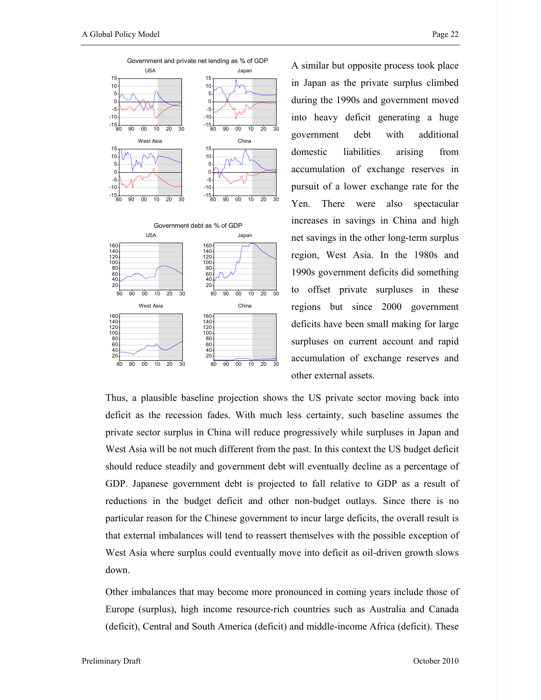



A similar but opposite process took place in Japan as the private surplus climbed during the 1990s and government moved into heavy deficit generating a huge government debt with additional domestic liabilities arising from accumulation of exchange reserves in pursuit of a lower exchange rate for the Yen. There were also spectacular increases in savings in China and high net savings in the other long-term surplus region, West Asia. In the 1980s and 1990s government deficits did something to offset private surpluses in these regions but since 2000 government deficits have been small making for large surpluses on current account and rapid accumulation of exchange reserves and other external assets.

Thus, a plausible baseline projection shows the US private sector moving back into deficit as the recession fades. With much less certainty, such baseline assumes the private sector surplus in China will reduce progressively while surpluses in Japan and West Asia will be not much different from the past. In this context the US budget deficit should reduce steadily and government debt will eventually decline as a percentage of GDP. Japanese government debt is projected to fall relative to GDP as a result of reductions in the budget deficit and other non-budget outlays. Since there is no particular reason for the Chinese government to incur large deficits, the overall result is that external imbalances will tend to reassert themselves with the possible exception of West Asia where surplus could eventually move into deficit as oil-driven growth slows down.

Other imbalances that may become more pronounced in coming years include those of Europe (surplus), high income resource-rich countries such as Australia and Canada (deficit), Central and South America (deficit) and middle-income Africa (deficit). These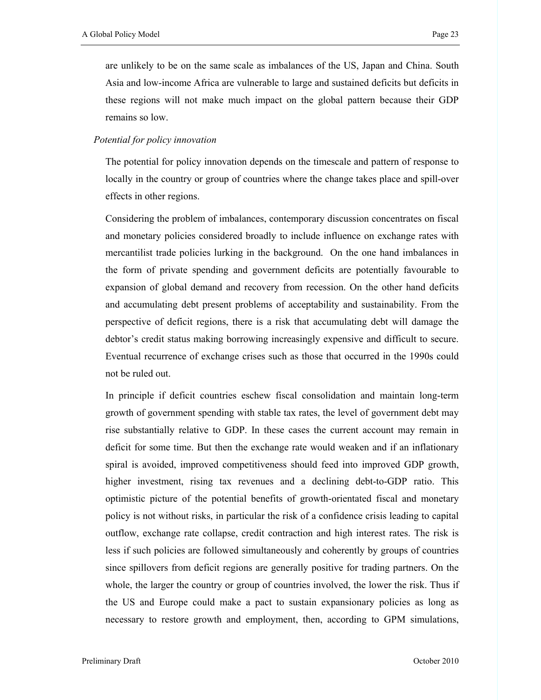are unlikely to be on the same scale as imbalances of the US, Japan and China. South Asia and low-income Africa are vulnerable to large and sustained deficits but deficits in these regions will not make much impact on the global pattern because their GDP remains so low.

#### *Potential for policy innovation*

The potential for policy innovation depends on the timescale and pattern of response to locally in the country or group of countries where the change takes place and spill-over effects in other regions.

Considering the problem of imbalances, contemporary discussion concentrates on fiscal and monetary policies considered broadly to include influence on exchange rates with mercantilist trade policies lurking in the background. On the one hand imbalances in the form of private spending and government deficits are potentially favourable to expansion of global demand and recovery from recession. On the other hand deficits and accumulating debt present problems of acceptability and sustainability. From the perspective of deficit regions, there is a risk that accumulating debt will damage the debtor's credit status making borrowing increasingly expensive and difficult to secure. Eventual recurrence of exchange crises such as those that occurred in the 1990s could not be ruled out.

In principle if deficit countries eschew fiscal consolidation and maintain long-term growth of government spending with stable tax rates, the level of government debt may rise substantially relative to GDP. In these cases the current account may remain in deficit for some time. But then the exchange rate would weaken and if an inflationary spiral is avoided, improved competitiveness should feed into improved GDP growth, higher investment, rising tax revenues and a declining debt-to-GDP ratio. This optimistic picture of the potential benefits of growth-orientated fiscal and monetary policy is not without risks, in particular the risk of a confidence crisis leading to capital outflow, exchange rate collapse, credit contraction and high interest rates. The risk is less if such policies are followed simultaneously and coherently by groups of countries since spillovers from deficit regions are generally positive for trading partners. On the whole, the larger the country or group of countries involved, the lower the risk. Thus if the US and Europe could make a pact to sustain expansionary policies as long as necessary to restore growth and employment, then, according to GPM simulations,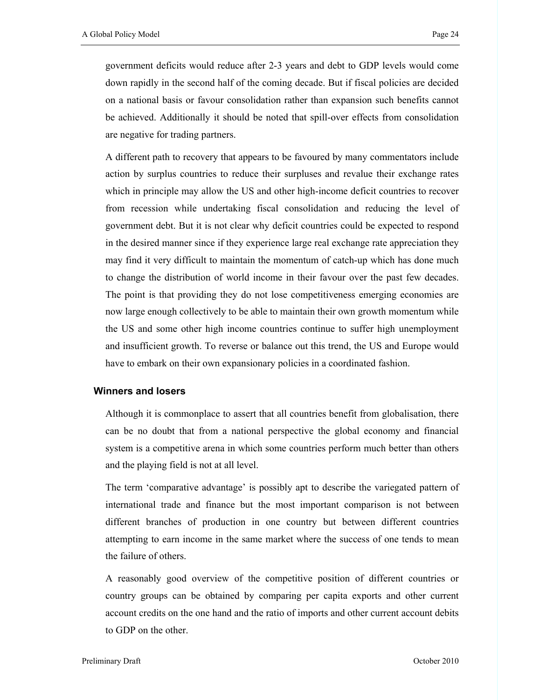government deficits would reduce after 2-3 years and debt to GDP levels would come down rapidly in the second half of the coming decade. But if fiscal policies are decided on a national basis or favour consolidation rather than expansion such benefits cannot be achieved. Additionally it should be noted that spill-over effects from consolidation are negative for trading partners.

A different path to recovery that appears to be favoured by many commentators include action by surplus countries to reduce their surpluses and revalue their exchange rates which in principle may allow the US and other high-income deficit countries to recover from recession while undertaking fiscal consolidation and reducing the level of government debt. But it is not clear why deficit countries could be expected to respond in the desired manner since if they experience large real exchange rate appreciation they may find it very difficult to maintain the momentum of catch-up which has done much to change the distribution of world income in their favour over the past few decades. The point is that providing they do not lose competitiveness emerging economies are now large enough collectively to be able to maintain their own growth momentum while the US and some other high income countries continue to suffer high unemployment and insufficient growth. To reverse or balance out this trend, the US and Europe would have to embark on their own expansionary policies in a coordinated fashion.

#### **Winners and losers**

Although it is commonplace to assert that all countries benefit from globalisation, there can be no doubt that from a national perspective the global economy and financial system is a competitive arena in which some countries perform much better than others and the playing field is not at all level.

The term 'comparative advantage' is possibly apt to describe the variegated pattern of international trade and finance but the most important comparison is not between different branches of production in one country but between different countries attempting to earn income in the same market where the success of one tends to mean the failure of others.

A reasonably good overview of the competitive position of different countries or country groups can be obtained by comparing per capita exports and other current account credits on the one hand and the ratio of imports and other current account debits to GDP on the other.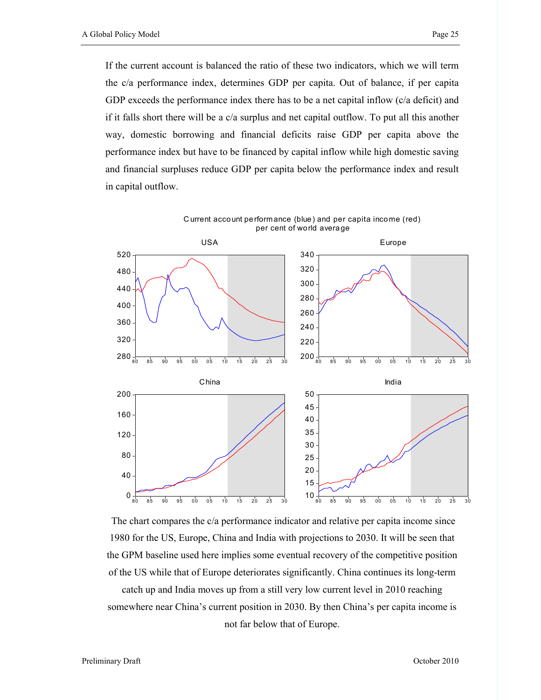If the current account is balanced the ratio of these two indicators, which we will term the c/a performance index, determines GDP per capita. Out of balance, if per capita GDP exceeds the performance index there has to be a net capital inflow (c/a deficit) and if it falls short there will be a c/a surplus and net capital outflow. To put all this another way, domestic borrowing and financial deficits raise GDP per capita above the performance index but have to be financed by capital inflow while high domestic saving and financial surpluses reduce GDP per capita below the performance index and result in capital outflow.



 The chart compares the c/a performance indicator and relative per capita income since 1980 for the US, Europe, China and India with projections to 2030. It will be seen that the GPM baseline used here implies some eventual recovery of the competitive position of the US while that of Europe deteriorates significantly. China continues its long-term catch up and India moves up from a still very low current level in 2010 reaching somewhere near China's current position in 2030. By then China's per capita income is not far below that of Europe.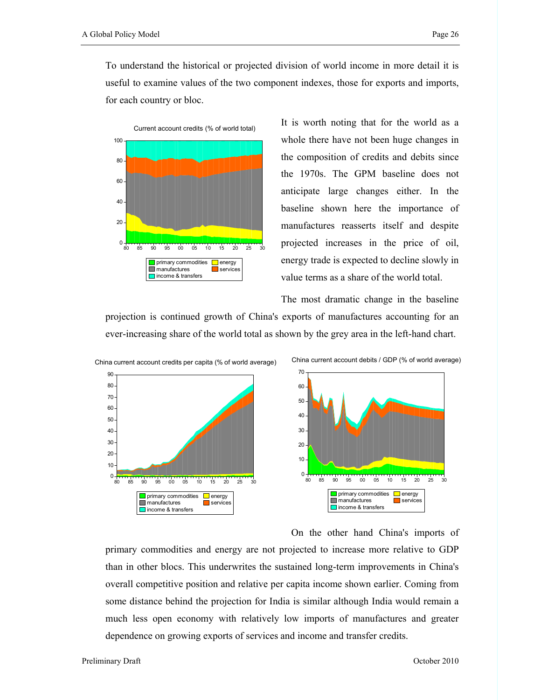To understand the historical or projected division of world income in more detail it is useful to examine values of the two component indexes, those for exports and imports, for each country or bloc.



It is worth noting that for the world as a whole there have not been huge changes in the composition of credits and debits since the 1970s. The GPM baseline does not anticipate large changes either. In the baseline shown here the importance of manufactures reasserts itself and despite projected increases in the price of oil, energy trade is expected to decline slowly in value terms as a share of the world total.

The most dramatic change in the baseline

projection is continued growth of China's exports of manufactures accounting for an ever-increasing share of the world total as shown by the grey area in the left-hand chart.



On the other hand China's imports of

primary commodities and energy are not projected to increase more relative to GDP than in other blocs. This underwrites the sustained long-term improvements in China's overall competitive position and relative per capita income shown earlier. Coming from some distance behind the projection for India is similar although India would remain a much less open economy with relatively low imports of manufactures and greater dependence on growing exports of services and income and transfer credits.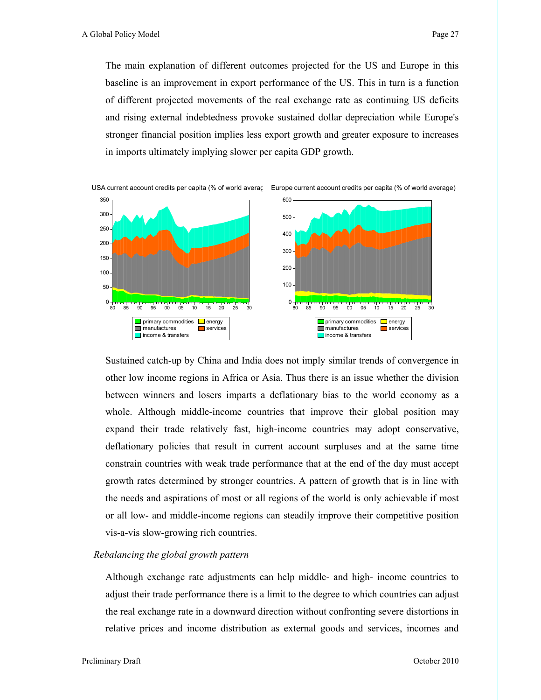The main explanation of different outcomes projected for the US and Europe in this baseline is an improvement in export performance of the US. This in turn is a function of different projected movements of the real exchange rate as continuing US deficits and rising external indebtedness provoke sustained dollar depreciation while Europe's stronger financial position implies less export growth and greater exposure to increases in imports ultimately implying slower per capita GDP growth.



USA current account credits per capita (% of world avera $\epsilon$  Europe current account credits per capita (% of world average)

Sustained catch-up by China and India does not imply similar trends of convergence in other low income regions in Africa or Asia. Thus there is an issue whether the division between winners and losers imparts a deflationary bias to the world economy as a whole. Although middle-income countries that improve their global position may expand their trade relatively fast, high-income countries may adopt conservative, deflationary policies that result in current account surpluses and at the same time constrain countries with weak trade performance that at the end of the day must accept growth rates determined by stronger countries. A pattern of growth that is in line with the needs and aspirations of most or all regions of the world is only achievable if most or all low- and middle-income regions can steadily improve their competitive position vis-a-vis slow-growing rich countries.

#### *Rebalancing the global growth pattern*

Although exchange rate adjustments can help middle- and high- income countries to adjust their trade performance there is a limit to the degree to which countries can adjust the real exchange rate in a downward direction without confronting severe distortions in relative prices and income distribution as external goods and services, incomes and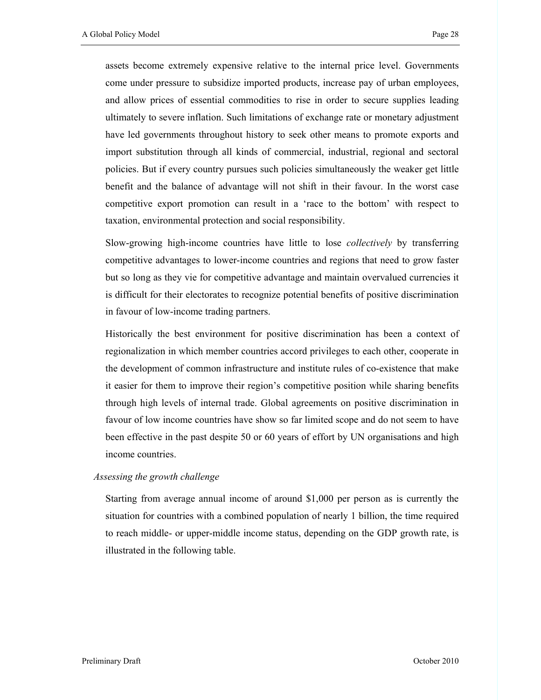assets become extremely expensive relative to the internal price level. Governments come under pressure to subsidize imported products, increase pay of urban employees, and allow prices of essential commodities to rise in order to secure supplies leading ultimately to severe inflation. Such limitations of exchange rate or monetary adjustment have led governments throughout history to seek other means to promote exports and import substitution through all kinds of commercial, industrial, regional and sectoral policies. But if every country pursues such policies simultaneously the weaker get little benefit and the balance of advantage will not shift in their favour. In the worst case competitive export promotion can result in a 'race to the bottom' with respect to taxation, environmental protection and social responsibility.

Slow-growing high-income countries have little to lose *collectively* by transferring competitive advantages to lower-income countries and regions that need to grow faster but so long as they vie for competitive advantage and maintain overvalued currencies it is difficult for their electorates to recognize potential benefits of positive discrimination in favour of low-income trading partners.

Historically the best environment for positive discrimination has been a context of regionalization in which member countries accord privileges to each other, cooperate in the development of common infrastructure and institute rules of co-existence that make it easier for them to improve their region's competitive position while sharing benefits through high levels of internal trade. Global agreements on positive discrimination in favour of low income countries have show so far limited scope and do not seem to have been effective in the past despite 50 or 60 years of effort by UN organisations and high income countries.

#### *Assessing the growth challenge*

Starting from average annual income of around \$1,000 per person as is currently the situation for countries with a combined population of nearly 1 billion, the time required to reach middle- or upper-middle income status, depending on the GDP growth rate, is illustrated in the following table.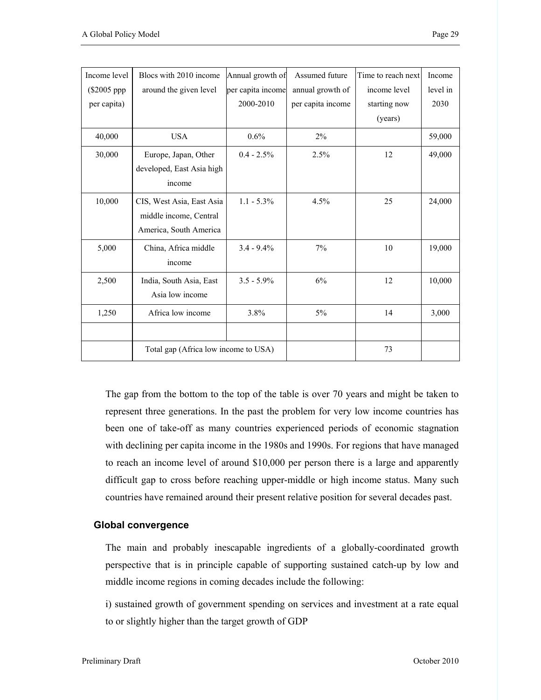| Income level  | Blocs with 2010 income               | Annual growth of  | Assumed future    | Time to reach next | Income   |
|---------------|--------------------------------------|-------------------|-------------------|--------------------|----------|
| $(\$2005$ ppp | around the given level               | per capita income | annual growth of  | income level       | level in |
| per capita)   |                                      | 2000-2010         | per capita income | starting now       | 2030     |
|               |                                      |                   |                   | (years)            |          |
| 40,000        | <b>USA</b>                           | $0.6\%$           | $2\%$             |                    | 59,000   |
| 30,000        | Europe, Japan, Other                 | $0.4 - 2.5\%$     | 2.5%              | 12                 | 49,000   |
|               | developed, East Asia high            |                   |                   |                    |          |
|               | income                               |                   |                   |                    |          |
| 10,000        | CIS, West Asia, East Asia            | $1.1 - 5.3\%$     | 4.5%              | 25                 | 24,000   |
|               | middle income, Central               |                   |                   |                    |          |
|               | America, South America               |                   |                   |                    |          |
| 5,000         | China, Africa middle                 | $3.4 - 9.4\%$     | 7%                | 10                 | 19,000   |
|               | income                               |                   |                   |                    |          |
| 2,500         | India, South Asia, East              | $3.5 - 5.9\%$     | 6%                | 12                 | 10,000   |
|               | Asia low income                      |                   |                   |                    |          |
| 1,250         | Africa low income                    | 3.8%              | 5%                | 14                 | 3,000    |
|               |                                      |                   |                   |                    |          |
|               | Total gap (Africa low income to USA) |                   |                   | 73                 |          |

The gap from the bottom to the top of the table is over 70 years and might be taken to represent three generations. In the past the problem for very low income countries has been one of take-off as many countries experienced periods of economic stagnation with declining per capita income in the 1980s and 1990s. For regions that have managed to reach an income level of around \$10,000 per person there is a large and apparently difficult gap to cross before reaching upper-middle or high income status. Many such countries have remained around their present relative position for several decades past.

#### **Global convergence**

The main and probably inescapable ingredients of a globally-coordinated growth perspective that is in principle capable of supporting sustained catch-up by low and middle income regions in coming decades include the following:

i) sustained growth of government spending on services and investment at a rate equal to or slightly higher than the target growth of GDP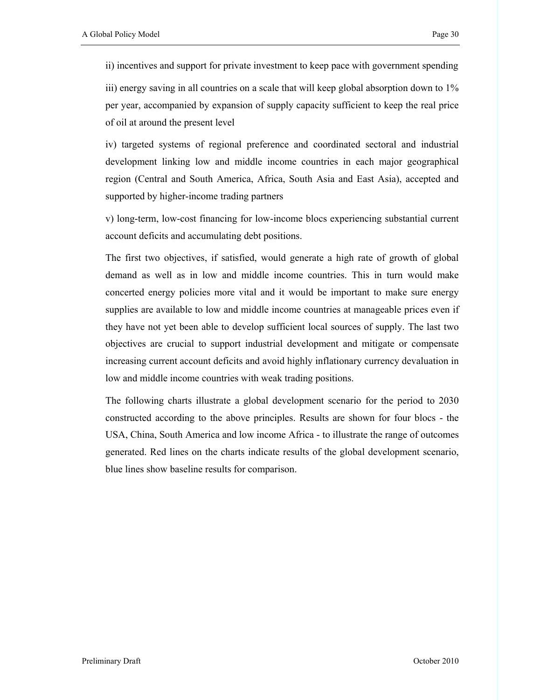ii) incentives and support for private investment to keep pace with government spending

iii) energy saving in all countries on a scale that will keep global absorption down to 1% per year, accompanied by expansion of supply capacity sufficient to keep the real price of oil at around the present level

iv) targeted systems of regional preference and coordinated sectoral and industrial development linking low and middle income countries in each major geographical region (Central and South America, Africa, South Asia and East Asia), accepted and supported by higher-income trading partners

v) long-term, low-cost financing for low-income blocs experiencing substantial current account deficits and accumulating debt positions.

The first two objectives, if satisfied, would generate a high rate of growth of global demand as well as in low and middle income countries. This in turn would make concerted energy policies more vital and it would be important to make sure energy supplies are available to low and middle income countries at manageable prices even if they have not yet been able to develop sufficient local sources of supply. The last two objectives are crucial to support industrial development and mitigate or compensate increasing current account deficits and avoid highly inflationary currency devaluation in low and middle income countries with weak trading positions.

The following charts illustrate a global development scenario for the period to 2030 constructed according to the above principles. Results are shown for four blocs - the USA, China, South America and low income Africa - to illustrate the range of outcomes generated. Red lines on the charts indicate results of the global development scenario, blue lines show baseline results for comparison.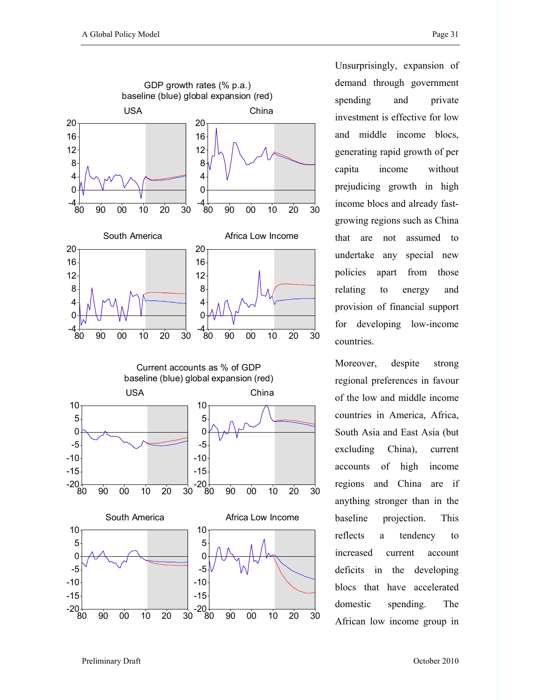

Unsurprisingly, expansion of demand through government spending and private investment is effective for low and middle income blocs, generating rapid growth of per capita income without prejudicing growth in high income blocs and already fastgrowing regions such as China that are not assumed to undertake any special new policies apart from those relating to energy and provision of financial support for developing low-income countries.

Moreover, despite strong regional preferences in favour of the low and middle income countries in America, Africa, South Asia and East Asia (but excluding China), current accounts of high income regions and China are if anything stronger than in the baseline projection. This reflects a tendency to increased current account deficits in the developing blocs that have accelerated domestic spending. The African low income group in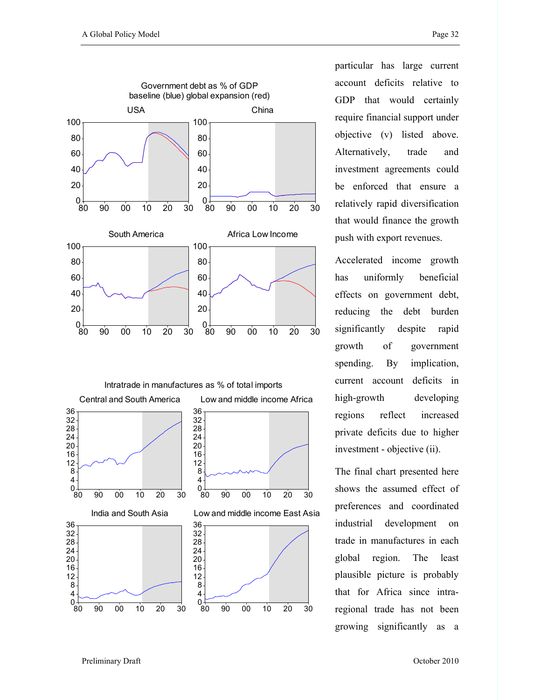



particular has large current account deficits relative to GDP that would certainly require financial support under objective (v) listed above. Alternatively, trade and investment agreements could be enforced that ensure a relatively rapid diversification that would finance the growth push with export revenues.

Accelerated income growth has uniformly beneficial effects on government debt, reducing the debt burden significantly despite rapid growth of government spending. By implication, current account deficits in high-growth developing regions reflect increased private deficits due to higher investment - objective (ii).

The final chart presented here shows the assumed effect of preferences and coordinated industrial development on trade in manufactures in each global region. The least plausible picture is probably that for Africa since intraregional trade has not been growing significantly as a